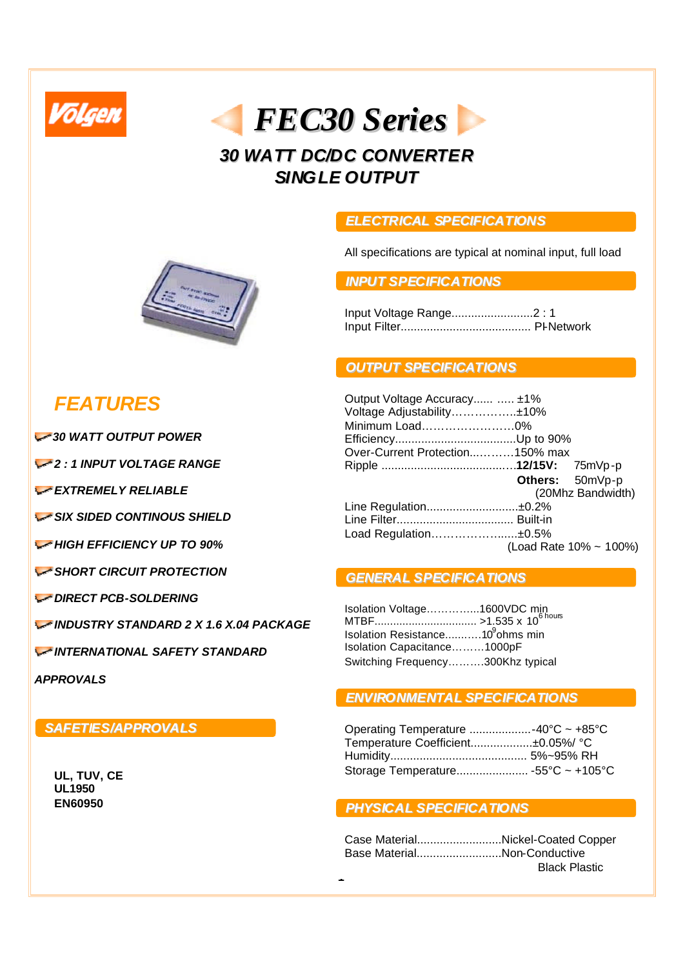



## *30 WATT DC/DC CONVERTER SINGLE OUTPUT*

#### *ELECTRICAL SPECIFICATIONS*

All specifications are typical at nominal input, full load

#### *INPUT SPECIFICATIONS*

Input Voltage Range.........................2 : 1 Input Filter........................................ PI-Network

### *OUTPUT SPECIFICATIONS*

| Output Voltage Accuracy  ±1%    |                 |                        |
|---------------------------------|-----------------|------------------------|
| Voltage Adjustability±10%       |                 |                        |
| Minimum Load0%                  |                 |                        |
|                                 |                 |                        |
| Over-Current Protection150% max |                 |                        |
|                                 |                 |                        |
|                                 | Others: 50mVp-p |                        |
|                                 |                 | (20Mhz Bandwidth)      |
| Line Regulation±0.2%            |                 |                        |
|                                 |                 |                        |
| Load Regulation±0.5%            |                 |                        |
|                                 |                 | (Load Rate 10% ~ 100%) |

#### *GENERAL SPECIFICATIONS*

| Isolation Voltage1600VDC min<br>MTBF >1.535 x 10 <sup>6 hous</sup> |  |
|--------------------------------------------------------------------|--|
|                                                                    |  |
| Isolation Resistance10 <sup>9</sup> ohms min                       |  |
| Isolation Capacitance1000pF                                        |  |
| Switching Frequency300Khz typical                                  |  |

#### *ENVIRONMENTAL SPECIFICATIONS*

| Operating Temperature -40°C ~ +85°C |  |
|-------------------------------------|--|
| Temperature Coefficient±0.05%/ °C   |  |
|                                     |  |
| Storage Temperature -55°C ~ +105°C  |  |

#### *PHYSICAL SPECIFICATIONS*

|                             | Case MaterialNickel-Coated Copper |
|-----------------------------|-----------------------------------|
| Base MaterialNon-Conductive |                                   |
|                             | <b>Black Plastic</b>              |
| $\blacksquare$              |                                   |



# *FEATURES*

*30 WATT OUTPUT POWER*

*2 : 1 INPUT VOLTAGE RANGE*

*EXTREMELY RELIABLE*

*SIX SIDED CONTINOUS SHIELD*

*<del>MIGH EFFICIENCY UP TO 90%</del>* 

*SHORT CIRCUIT PROTECTION*

*DIRECT PCB-SOLDERING*

*INDUSTRY STANDARD 2 X 1.6 X.04 PACKAGE*

*INTERNATIONAL SAFETY STANDARD* 

*APPROVALS*

### *SAFETIES/APPROVALS*

**UL, TUV, CE UL1950 EN60950**